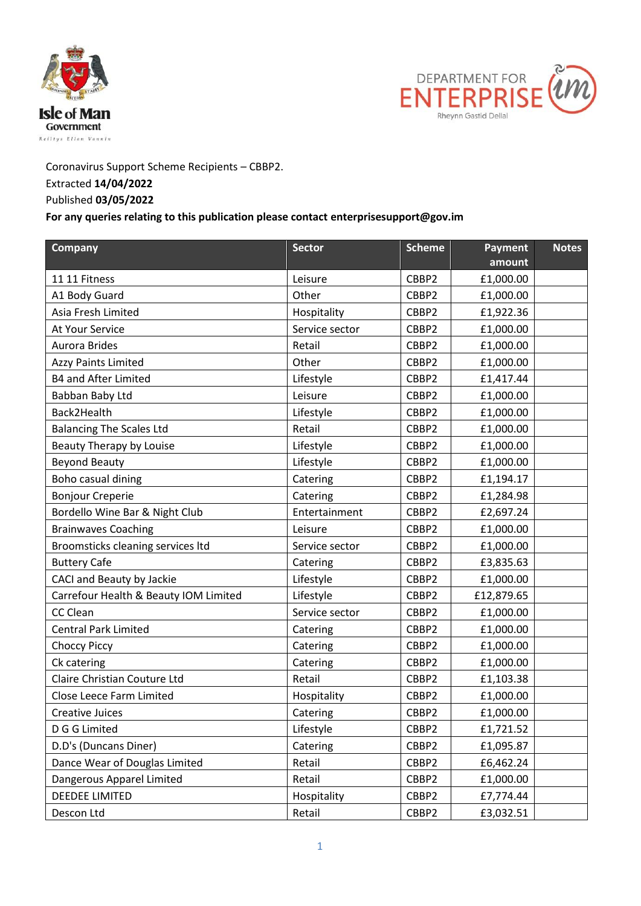



Coronavirus Support Scheme Recipients – CBBP2. Extracted **14/04/2022**

## Published **03/05/2022**

## **For any queries relating to this publication please contact enterprisesupport@gov.im**

| <b>Company</b>                        | <b>Sector</b>  | <b>Scheme</b> | Payment    | <b>Notes</b> |
|---------------------------------------|----------------|---------------|------------|--------------|
|                                       |                |               | amount     |              |
| 11 11 Fitness                         | Leisure        | CBBP2         | £1,000.00  |              |
| A1 Body Guard                         | Other          | CBBP2         | £1,000.00  |              |
| Asia Fresh Limited                    | Hospitality    | CBBP2         | £1,922.36  |              |
| At Your Service                       | Service sector | CBBP2         | £1,000.00  |              |
| <b>Aurora Brides</b>                  | Retail         | CBBP2         | £1,000.00  |              |
| <b>Azzy Paints Limited</b>            | Other          | CBBP2         | £1,000.00  |              |
| <b>B4 and After Limited</b>           | Lifestyle      | CBBP2         | £1,417.44  |              |
| Babban Baby Ltd                       | Leisure        | CBBP2         | £1,000.00  |              |
| Back2Health                           | Lifestyle      | CBBP2         | £1,000.00  |              |
| <b>Balancing The Scales Ltd</b>       | Retail         | CBBP2         | £1,000.00  |              |
| Beauty Therapy by Louise              | Lifestyle      | CBBP2         | £1,000.00  |              |
| <b>Beyond Beauty</b>                  | Lifestyle      | CBBP2         | £1,000.00  |              |
| Boho casual dining                    | Catering       | CBBP2         | £1,194.17  |              |
| <b>Bonjour Creperie</b>               | Catering       | CBBP2         | £1,284.98  |              |
| Bordello Wine Bar & Night Club        | Entertainment  | CBBP2         | £2,697.24  |              |
| <b>Brainwaves Coaching</b>            | Leisure        | CBBP2         | £1,000.00  |              |
| Broomsticks cleaning services Itd     | Service sector | CBBP2         | £1,000.00  |              |
| <b>Buttery Cafe</b>                   | Catering       | CBBP2         | £3,835.63  |              |
| CACI and Beauty by Jackie             | Lifestyle      | CBBP2         | £1,000.00  |              |
| Carrefour Health & Beauty IOM Limited | Lifestyle      | CBBP2         | £12,879.65 |              |
| <b>CC Clean</b>                       | Service sector | CBBP2         | £1,000.00  |              |
| <b>Central Park Limited</b>           | Catering       | CBBP2         | £1,000.00  |              |
| <b>Choccy Piccy</b>                   | Catering       | CBBP2         | £1,000.00  |              |
| Ck catering                           | Catering       | CBBP2         | £1,000.00  |              |
| Claire Christian Couture Ltd          | Retail         | CBBP2         | £1,103.38  |              |
| Close Leece Farm Limited              | Hospitality    | CBBP2         | £1,000.00  |              |
| <b>Creative Juices</b>                | Catering       | CBBP2         | £1,000.00  |              |
| D G G Limited                         | Lifestyle      | CBBP2         | £1,721.52  |              |
| D.D's (Duncans Diner)                 | Catering       | CBBP2         | £1,095.87  |              |
| Dance Wear of Douglas Limited         | Retail         | CBBP2         | £6,462.24  |              |
| Dangerous Apparel Limited             | Retail         | CBBP2         | £1,000.00  |              |
| <b>DEEDEE LIMITED</b>                 | Hospitality    | CBBP2         | £7,774.44  |              |
| Descon Ltd                            | Retail         | CBBP2         | £3,032.51  |              |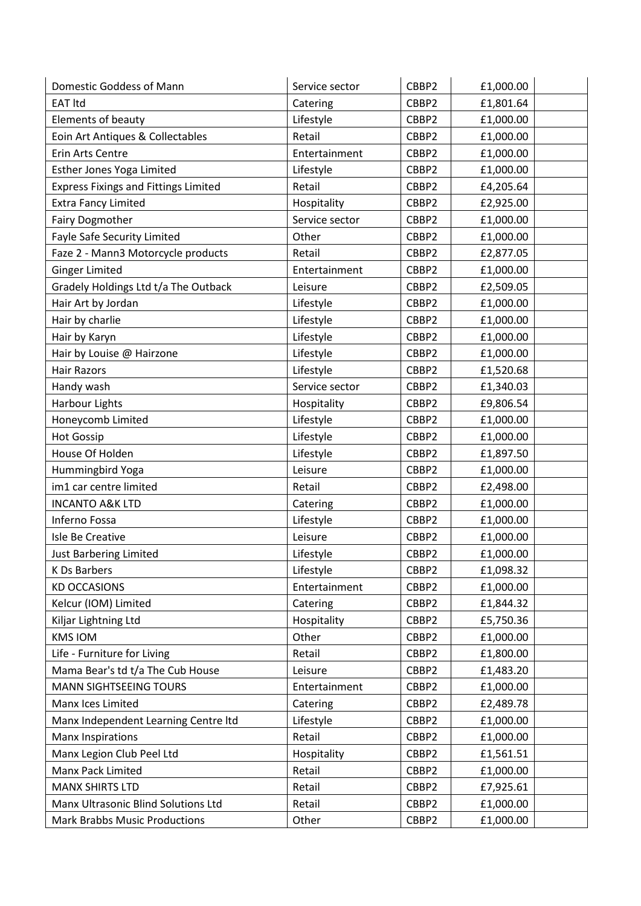| Domestic Goddess of Mann                    | Service sector | CBBP2 | £1,000.00 |
|---------------------------------------------|----------------|-------|-----------|
| <b>EAT Itd</b>                              | Catering       | CBBP2 | £1,801.64 |
| Elements of beauty                          | Lifestyle      | CBBP2 | £1,000.00 |
| Eoin Art Antiques & Collectables            | Retail         | CBBP2 | £1,000.00 |
| Erin Arts Centre                            | Entertainment  | CBBP2 | £1,000.00 |
| Esther Jones Yoga Limited                   | Lifestyle      | CBBP2 | £1,000.00 |
| <b>Express Fixings and Fittings Limited</b> | Retail         | CBBP2 | £4,205.64 |
| <b>Extra Fancy Limited</b>                  | Hospitality    | CBBP2 | £2,925.00 |
| <b>Fairy Dogmother</b>                      | Service sector | CBBP2 | £1,000.00 |
| Fayle Safe Security Limited                 | Other          | CBBP2 | £1,000.00 |
| Faze 2 - Mann3 Motorcycle products          | Retail         | CBBP2 | £2,877.05 |
| <b>Ginger Limited</b>                       | Entertainment  | CBBP2 | £1,000.00 |
| Gradely Holdings Ltd t/a The Outback        | Leisure        | CBBP2 | £2,509.05 |
| Hair Art by Jordan                          | Lifestyle      | CBBP2 | £1,000.00 |
| Hair by charlie                             | Lifestyle      | CBBP2 | £1,000.00 |
| Hair by Karyn                               | Lifestyle      | CBBP2 | £1,000.00 |
| Hair by Louise @ Hairzone                   | Lifestyle      | CBBP2 | £1,000.00 |
| <b>Hair Razors</b>                          | Lifestyle      | CBBP2 | £1,520.68 |
| Handy wash                                  | Service sector | CBBP2 | £1,340.03 |
| <b>Harbour Lights</b>                       | Hospitality    | CBBP2 | £9,806.54 |
| Honeycomb Limited                           | Lifestyle      | CBBP2 | £1,000.00 |
| <b>Hot Gossip</b>                           | Lifestyle      | CBBP2 | £1,000.00 |
| House Of Holden                             | Lifestyle      | CBBP2 | £1,897.50 |
| Hummingbird Yoga                            | Leisure        | CBBP2 | £1,000.00 |
| im1 car centre limited                      | Retail         | CBBP2 | £2,498.00 |
| <b>INCANTO A&amp;K LTD</b>                  | Catering       | CBBP2 | £1,000.00 |
| Inferno Fossa                               | Lifestyle      | CBBP2 | £1,000.00 |
| Isle Be Creative                            | Leisure        | CBBP2 | £1,000.00 |
| <b>Just Barbering Limited</b>               | Lifestyle      | CBBP2 | £1,000.00 |
| K Ds Barbers                                | Lifestyle      | CBBP2 | £1,098.32 |
| <b>KD OCCASIONS</b>                         | Entertainment  | CBBP2 | £1,000.00 |
| Kelcur (IOM) Limited                        | Catering       | CBBP2 | £1,844.32 |
| Kiljar Lightning Ltd                        | Hospitality    | CBBP2 | £5,750.36 |
| <b>KMS IOM</b>                              | Other          | CBBP2 | £1,000.00 |
| Life - Furniture for Living                 | Retail         | CBBP2 | £1,800.00 |
| Mama Bear's td t/a The Cub House            | Leisure        | CBBP2 | £1,483.20 |
| <b>MANN SIGHTSEEING TOURS</b>               | Entertainment  | CBBP2 | £1,000.00 |
| Manx Ices Limited                           | Catering       | CBBP2 | £2,489.78 |
| Manx Independent Learning Centre Itd        | Lifestyle      | CBBP2 | £1,000.00 |
| <b>Manx Inspirations</b>                    | Retail         | CBBP2 | £1,000.00 |
| Manx Legion Club Peel Ltd                   | Hospitality    | CBBP2 | £1,561.51 |
| Manx Pack Limited                           | Retail         | CBBP2 | £1,000.00 |
| <b>MANX SHIRTS LTD</b>                      | Retail         | CBBP2 | £7,925.61 |
| Manx Ultrasonic Blind Solutions Ltd         | Retail         | CBBP2 | £1,000.00 |
| <b>Mark Brabbs Music Productions</b>        | Other          | CBBP2 | £1,000.00 |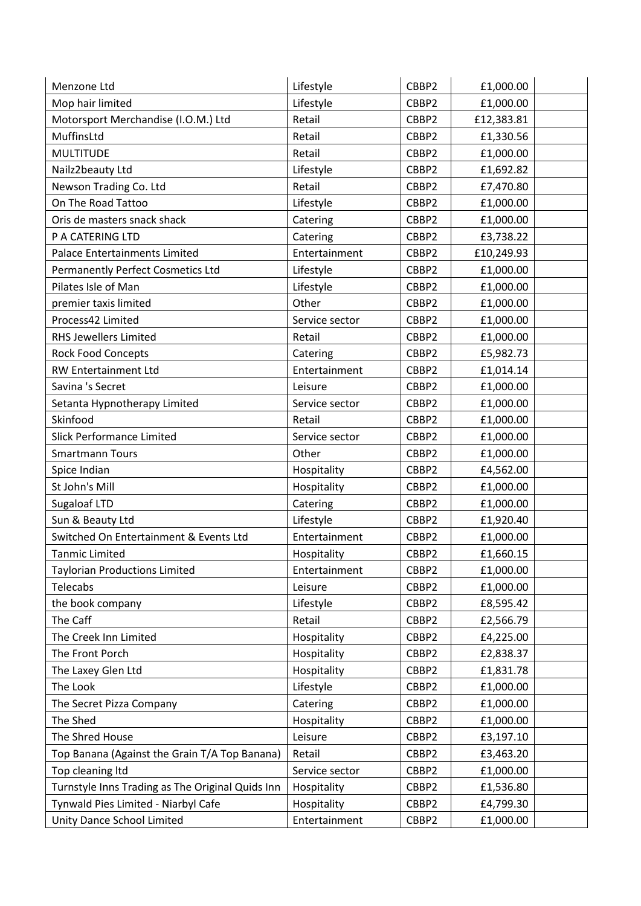| Menzone Ltd                                      | Lifestyle      | CBBP2 | £1,000.00  |
|--------------------------------------------------|----------------|-------|------------|
| Mop hair limited                                 | Lifestyle      | CBBP2 | £1,000.00  |
| Motorsport Merchandise (I.O.M.) Ltd              | Retail         | CBBP2 | £12,383.81 |
| MuffinsLtd                                       | Retail         | CBBP2 | £1,330.56  |
| <b>MULTITUDE</b>                                 | Retail         | CBBP2 | £1,000.00  |
| Nailz2beauty Ltd                                 | Lifestyle      | CBBP2 | £1,692.82  |
| Newson Trading Co. Ltd                           | Retail         | CBBP2 | £7,470.80  |
| On The Road Tattoo                               | Lifestyle      | CBBP2 | £1,000.00  |
| Oris de masters snack shack                      | Catering       | CBBP2 | £1,000.00  |
| P A CATERING LTD                                 | Catering       | CBBP2 | £3,738.22  |
| <b>Palace Entertainments Limited</b>             | Entertainment  | CBBP2 | £10,249.93 |
| <b>Permanently Perfect Cosmetics Ltd</b>         | Lifestyle      | CBBP2 | £1,000.00  |
| Pilates Isle of Man                              | Lifestyle      | CBBP2 | £1,000.00  |
| premier taxis limited                            | Other          | CBBP2 | £1,000.00  |
| Process42 Limited                                | Service sector | CBBP2 | £1,000.00  |
| <b>RHS Jewellers Limited</b>                     | Retail         | CBBP2 | £1,000.00  |
| <b>Rock Food Concepts</b>                        | Catering       | CBBP2 | £5,982.73  |
| RW Entertainment Ltd                             | Entertainment  | CBBP2 | £1,014.14  |
| Savina 's Secret                                 | Leisure        | CBBP2 | £1,000.00  |
| Setanta Hypnotherapy Limited                     | Service sector | CBBP2 | £1,000.00  |
| Skinfood                                         | Retail         | CBBP2 | £1,000.00  |
| <b>Slick Performance Limited</b>                 | Service sector | CBBP2 | £1,000.00  |
| <b>Smartmann Tours</b>                           | Other          | CBBP2 | £1,000.00  |
| Spice Indian                                     | Hospitality    | CBBP2 | £4,562.00  |
| St John's Mill                                   | Hospitality    | CBBP2 | £1,000.00  |
| Sugaloaf LTD                                     | Catering       | CBBP2 | £1,000.00  |
| Sun & Beauty Ltd                                 | Lifestyle      | CBBP2 | £1,920.40  |
| Switched On Entertainment & Events Ltd           | Entertainment  | CBBP2 | £1,000.00  |
| <b>Tanmic Limited</b>                            | Hospitality    | CBBP2 | £1,660.15  |
| <b>Taylorian Productions Limited</b>             | Entertainment  | CBBP2 | £1,000.00  |
| Telecabs                                         | Leisure        | CBBP2 | £1,000.00  |
| the book company                                 | Lifestyle      | CBBP2 | £8,595.42  |
| The Caff                                         | Retail         | CBBP2 | £2,566.79  |
| The Creek Inn Limited                            | Hospitality    | CBBP2 | £4,225.00  |
| The Front Porch                                  | Hospitality    | CBBP2 | £2,838.37  |
| The Laxey Glen Ltd                               | Hospitality    | CBBP2 | £1,831.78  |
| The Look                                         | Lifestyle      | CBBP2 | £1,000.00  |
| The Secret Pizza Company                         | Catering       | CBBP2 | £1,000.00  |
| The Shed                                         | Hospitality    | CBBP2 | £1,000.00  |
| The Shred House                                  | Leisure        | CBBP2 | £3,197.10  |
| Top Banana (Against the Grain T/A Top Banana)    | Retail         | CBBP2 | £3,463.20  |
| Top cleaning Itd                                 | Service sector | CBBP2 | £1,000.00  |
| Turnstyle Inns Trading as The Original Quids Inn | Hospitality    | CBBP2 | £1,536.80  |
| Tynwald Pies Limited - Niarbyl Cafe              | Hospitality    | CBBP2 | £4,799.30  |
| Unity Dance School Limited                       | Entertainment  | CBBP2 | £1,000.00  |